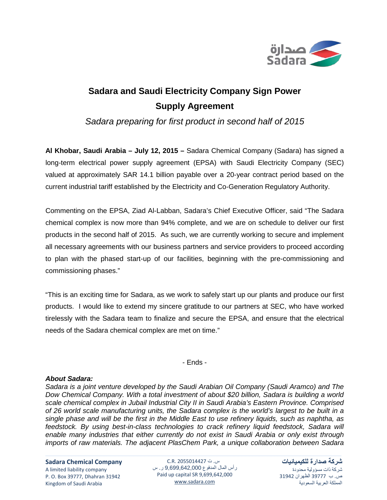

## **Sadara and Saudi Electricity Company Sign Power Supply Agreement**

*Sadara preparing for first product in second half of 2015*

**Al Khobar, Saudi Arabia – July 12, 2015 –** Sadara Chemical Company (Sadara) has signed a long-term electrical power supply agreement (EPSA) with Saudi Electricity Company (SEC) valued at approximately SAR 14.1 billion payable over a 20-year contract period based on the current industrial tariff established by the Electricity and Co-Generation Regulatory Authority.

Commenting on the EPSA, Ziad Al-Labban, Sadara's Chief Executive Officer, said "The Sadara chemical complex is now more than 94% complete, and we are on schedule to deliver our first products in the second half of 2015. As such, we are currently working to secure and implement all necessary agreements with our business partners and service providers to proceed according to plan with the phased start-up of our facilities, beginning with the pre-commissioning and commissioning phases."

"This is an exciting time for Sadara, as we work to safely start up our plants and produce our first products. I would like to extend my sincere gratitude to our partners at SEC, who have worked tirelessly with the Sadara team to finalize and secure the EPSA, and ensure that the electrical needs of the Sadara chemical complex are met on time."

- Ends -

## *About Sadara:*

*Sadara is a joint venture developed by the Saudi Arabian Oil Company (Saudi Aramco) and The Dow Chemical Company. With a total investment of about \$20 billion, Sadara is building a world scale chemical complex in Jubail Industrial City II in Saudi Arabia's Eastern Province. Comprised of 26 world scale manufacturing units, the Sadara complex is the world's largest to be built in a single phase and will be the first in the Middle East to use refinery liquids, such as naphtha, as feedstock. By using best-in-class technologies to crack refinery liquid feedstock, Sadara will enable many industries that either currently do not exist in Saudi Arabia or only exist through imports of raw materials. The adjacent PlasChem Park, a unique collaboration between Sadara* 

**Sadara Chemical Company**

A limited liability company P. O. Box 39777, Dhahran 31942 Kingdom of Saudi Arabia

س. ت 2055014427 .R.C رأس المال المدفوع 9,699,642,000 ر. س Paid up capital SR 9,699,642,000 [www.sadara.com](http://www.sadara.com/)

**شركة صدارة للكيميائيات** شركة ذات مسؤولية محدودة ص. ب 39777 الظهران 31942 المملكة العربية السعودية